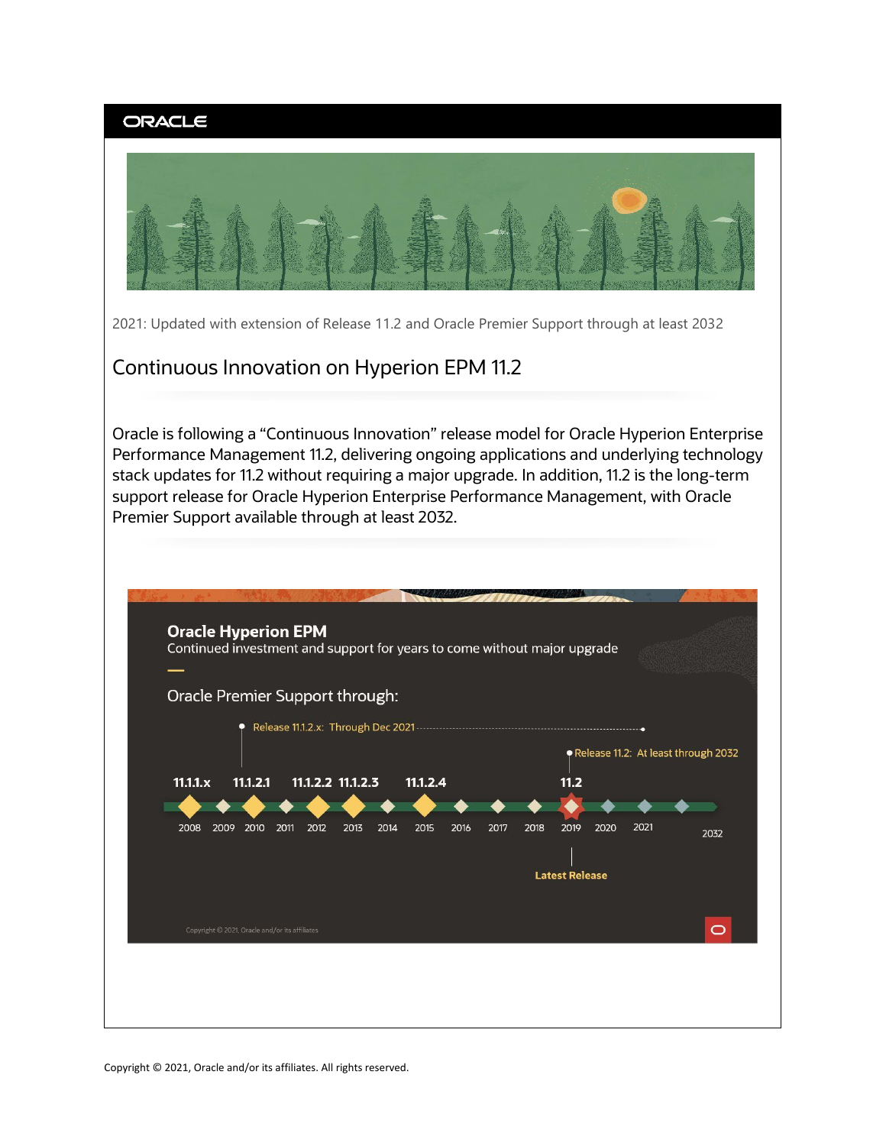

Copyright © 2021, Oracle and/or its affiliates. All rights reserved.